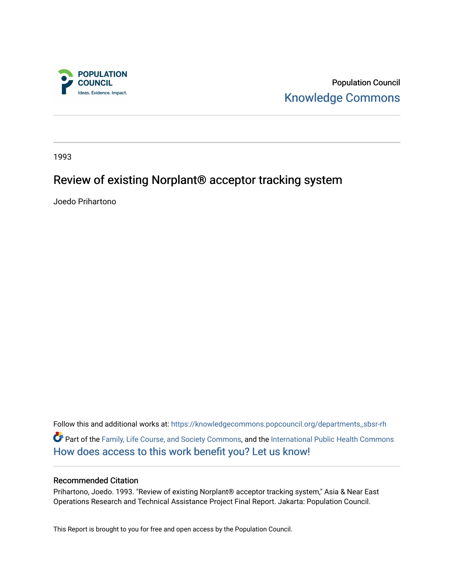

Population Council [Knowledge Commons](https://knowledgecommons.popcouncil.org/) 

1993

# Review of existing Norplant® acceptor tracking system

Joedo Prihartono

Follow this and additional works at: [https://knowledgecommons.popcouncil.org/departments\\_sbsr-rh](https://knowledgecommons.popcouncil.org/departments_sbsr-rh?utm_source=knowledgecommons.popcouncil.org%2Fdepartments_sbsr-rh%2F2140&utm_medium=PDF&utm_campaign=PDFCoverPages)  Part of the [Family, Life Course, and Society Commons,](https://network.bepress.com/hgg/discipline/419?utm_source=knowledgecommons.popcouncil.org%2Fdepartments_sbsr-rh%2F2140&utm_medium=PDF&utm_campaign=PDFCoverPages) and the [International Public Health Commons](https://network.bepress.com/hgg/discipline/746?utm_source=knowledgecommons.popcouncil.org%2Fdepartments_sbsr-rh%2F2140&utm_medium=PDF&utm_campaign=PDFCoverPages)  [How does access to this work benefit you? Let us know!](https://pcouncil.wufoo.com/forms/open-access-to-population-council-research/)

## Recommended Citation

Prihartono, Joedo. 1993. "Review of existing Norplant® acceptor tracking system," Asia & Near East Operations Research and Technical Assistance Project Final Report. Jakarta: Population Council.

This Report is brought to you for free and open access by the Population Council.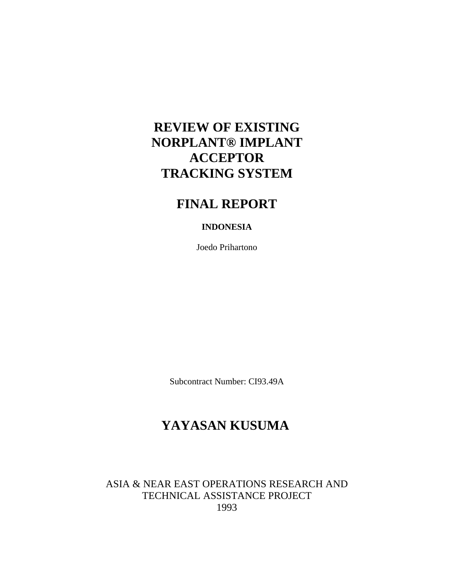# **REVIEW OF EXISTING NORPLANT® IMPLANT ACCEPTOR TRACKING SYSTEM**

# **FINAL REPORT**

## **INDONESIA**

Joedo Prihartono

Subcontract Number: CI93.49A

# **YAYASAN KUSUMA**

ASIA & NEAR EAST OPERATIONS RESEARCH AND TECHNICAL ASSISTANCE PROJECT 1993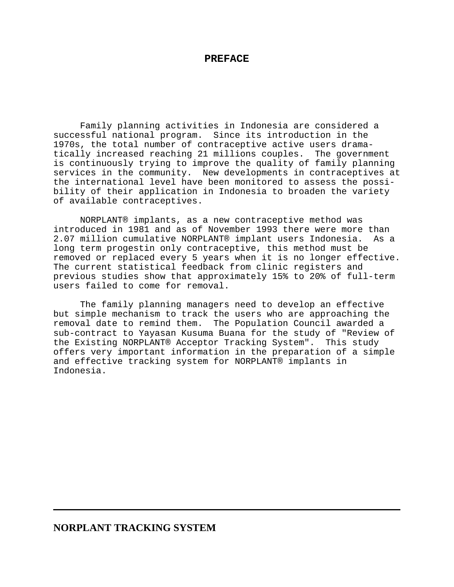### **PREFACE**

Family planning activities in Indonesia are considered a successful national program. Since its introduction in the 1970s, the total number of contraceptive active users dramatically increased reaching 21 millions couples. The government is continuously trying to improve the quality of family planning services in the community. New developments in contraceptives at the international level have been monitored to assess the possibility of their application in Indonesia to broaden the variety of available contraceptives.

NORPLANT® implants, as a new contraceptive method was introduced in 1981 and as of November 1993 there were more than 2.07 million cumulative NORPLANT® implant users Indonesia. As a long term progestin only contraceptive, this method must be removed or replaced every 5 years when it is no longer effective. The current statistical feedback from clinic registers and previous studies show that approximately 15% to 20% of full-term users failed to come for removal.

The family planning managers need to develop an effective but simple mechanism to track the users who are approaching the removal date to remind them. The Population Council awarded a sub-contract to Yayasan Kusuma Buana for the study of "Review of the Existing NORPLANT® Acceptor Tracking System". This study offers very important information in the preparation of a simple and effective tracking system for NORPLANT® implants in Indonesia.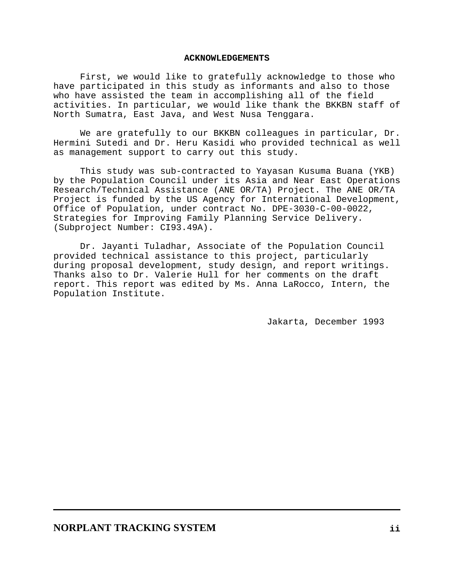#### **ACKNOWLEDGEMENTS**

First, we would like to gratefully acknowledge to those who have participated in this study as informants and also to those who have assisted the team in accomplishing all of the field activities. In particular, we would like thank the BKKBN staff of North Sumatra, East Java, and West Nusa Tenggara.

We are gratefully to our BKKBN colleagues in particular, Dr. Hermini Sutedi and Dr. Heru Kasidi who provided technical as well as management support to carry out this study.

This study was sub-contracted to Yayasan Kusuma Buana (YKB) by the Population Council under its Asia and Near East Operations Research/Technical Assistance (ANE OR/TA) Project. The ANE OR/TA Project is funded by the US Agency for International Development, Office of Population, under contract No. DPE-3030-C-00-0022, Strategies for Improving Family Planning Service Delivery. (Subproject Number: CI93.49A).

Dr. Jayanti Tuladhar, Associate of the Population Council provided technical assistance to this project, particularly during proposal development, study design, and report writings. Thanks also to Dr. Valerie Hull for her comments on the draft report. This report was edited by Ms. Anna LaRocco, Intern, the Population Institute.

Jakarta, December 1993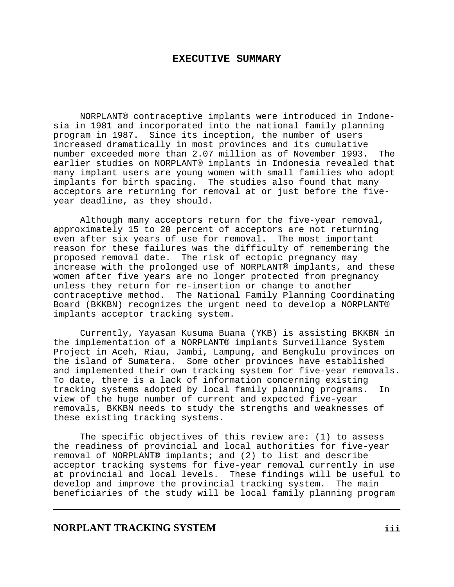### **EXECUTIVE SUMMARY**

NORPLANT® contraceptive implants were introduced in Indonesia in 1981 and incorporated into the national family planning program in 1987. Since its inception, the number of users increased dramatically in most provinces and its cumulative number exceeded more than 2.07 million as of November 1993. The earlier studies on NORPLANT® implants in Indonesia revealed that many implant users are young women with small families who adopt implants for birth spacing. The studies also found that many acceptors are returning for removal at or just before the fiveyear deadline, as they should.

Although many acceptors return for the five-year removal, approximately 15 to 20 percent of acceptors are not returning even after six years of use for removal. The most important reason for these failures was the difficulty of remembering the proposed removal date. The risk of ectopic pregnancy may increase with the prolonged use of NORPLANT® implants, and these women after five years are no longer protected from pregnancy unless they return for re-insertion or change to another contraceptive method. The National Family Planning Coordinating Board (BKKBN) recognizes the urgent need to develop a NORPLANT® implants acceptor tracking system.

Currently, Yayasan Kusuma Buana (YKB) is assisting BKKBN in the implementation of a NORPLANT® implants Surveillance System Project in Aceh, Riau, Jambi, Lampung, and Bengkulu provinces on the island of Sumatera. Some other provinces have established and implemented their own tracking system for five-year removals. To date, there is a lack of information concerning existing tracking systems adopted by local family planning programs. In view of the huge number of current and expected five-year removals, BKKBN needs to study the strengths and weaknesses of these existing tracking systems.

The specific objectives of this review are: (1) to assess the readiness of provincial and local authorities for five-year removal of NORPLANT® implants; and (2) to list and describe acceptor tracking systems for five-year removal currently in use at provincial and local levels. These findings will be useful to develop and improve the provincial tracking system. The main beneficiaries of the study will be local family planning program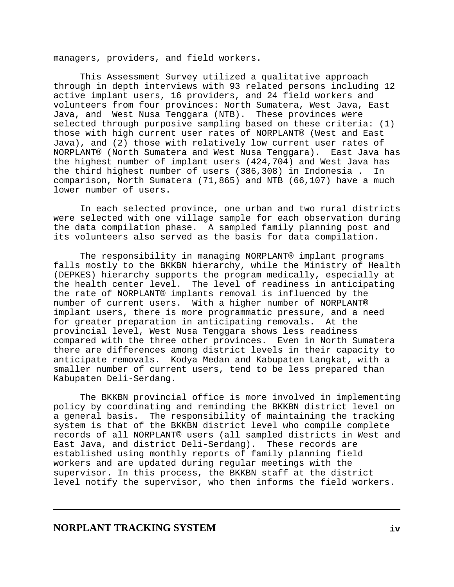managers, providers, and field workers.

This Assessment Survey utilized a qualitative approach through in depth interviews with 93 related persons including 12 active implant users, 16 providers, and 24 field workers and volunteers from four provinces: North Sumatera, West Java, East Java, and West Nusa Tenggara (NTB). These provinces were selected through purposive sampling based on these criteria: (1) those with high current user rates of NORPLANT® (West and East Java), and (2) those with relatively low current user rates of NORPLANT® (North Sumatera and West Nusa Tenggara). East Java has the highest number of implant users (424,704) and West Java has the third highest number of users (386,308) in Indonesia . In comparison, North Sumatera (71,865) and NTB (66,107) have a much lower number of users.

In each selected province, one urban and two rural districts were selected with one village sample for each observation during the data compilation phase. A sampled family planning post and its volunteers also served as the basis for data compilation.

The responsibility in managing NORPLANT® implant programs falls mostly to the BKKBN hierarchy, while the Ministry of Health (DEPKES) hierarchy supports the program medically, especially at the health center level. The level of readiness in anticipating the rate of NORPLANT® implants removal is influenced by the number of current users. With a higher number of NORPLANT® implant users, there is more programmatic pressure, and a need for greater preparation in anticipating removals. At the provincial level, West Nusa Tenggara shows less readiness compared with the three other provinces. Even in North Sumatera there are differences among district levels in their capacity to anticipate removals. Kodya Medan and Kabupaten Langkat, with a smaller number of current users, tend to be less prepared than Kabupaten Deli-Serdang.

The BKKBN provincial office is more involved in implementing policy by coordinating and reminding the BKKBN district level on a general basis. The responsibility of maintaining the tracking system is that of the BKKBN district level who compile complete records of all NORPLANT® users (all sampled districts in West and East Java, and district Deli-Serdang). These records are established using monthly reports of family planning field workers and are updated during regular meetings with the supervisor. In this process, the BKKBN staff at the district level notify the supervisor, who then informs the field workers.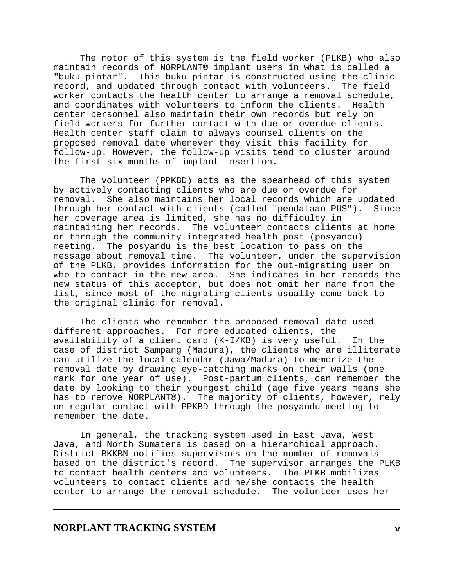The motor of this system is the field worker (PLKB) who also maintain records of NORPLANT® implant users in what is called a "buku pintar". This buku pintar is constructed using the clinic record, and updated through contact with volunteers. worker contacts the health center to arrange a removal schedule, and coordinates with volunteers to inform the clients. Health center personnel also maintain their own records but rely on field workers for further contact with due or overdue clients. Health center staff claim to always counsel clients on the proposed removal date whenever they visit this facility for follow-up. However, the follow-up visits tend to cluster around the first six months of implant insertion.

The volunteer (PPKBD) acts as the spearhead of this system by actively contacting clients who are due or overdue for removal. She also maintains her local records which are updated through her contact with clients (called "pendataan PUS"). Since her coverage area is limited, she has no difficulty in maintaining her records. The volunteer contacts clients at home or through the community integrated health post (posyandu) meeting. The posyandu is the best location to pass on the message about removal time. The volunteer, under the supervision of the PLKB, provides information for the out-migrating user on who to contact in the new area. She indicates in her records the new status of this acceptor, but does not omit her name from the list, since most of the migrating clients usually come back to the original clinic for removal.

The clients who remember the proposed removal date used different approaches. For more educated clients, the availability of a client card (K-I/KB) is very useful. In the case of district Sampang (Madura), the clients who are illiterate can utilize the local calendar (Jawa/Madura) to memorize the removal date by drawing eye-catching marks on their walls (one mark for one year of use). Post-partum clients, can remember the date by looking to their youngest child (age five years means she has to remove NORPLANT®). The majority of clients, however, rely on regular contact with PPKBD through the posyandu meeting to remember the date.

In general, the tracking system used in East Java, West Java, and North Sumatera is based on a hierarchical approach. District BKKBN notifies supervisors on the number of removals based on the district's record. The supervisor arranges the PLKB to contact health centers and volunteers. The PLKB mobilizes volunteers to contact clients and he/she contacts the health center to arrange the removal schedule. The volunteer uses her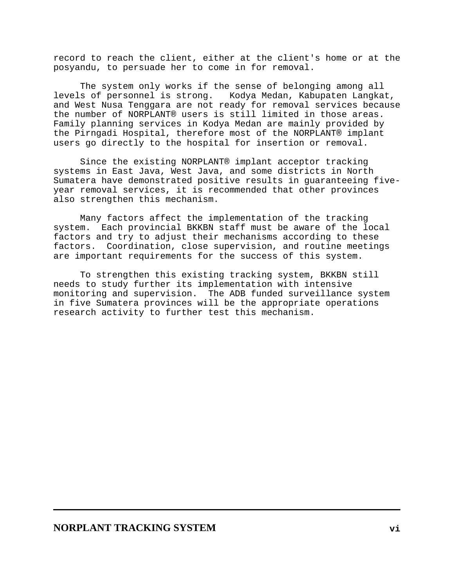record to reach the client, either at the client's home or at the posyandu, to persuade her to come in for removal.

The system only works if the sense of belonging among all levels of personnel is strong. Kodya Medan, Kabupaten Langkat, and West Nusa Tenggara are not ready for removal services because the number of NORPLANT® users is still limited in those areas. Family planning services in Kodya Medan are mainly provided by the Pirngadi Hospital, therefore most of the NORPLANT® implant users go directly to the hospital for insertion or removal.

Since the existing NORPLANT® implant acceptor tracking systems in East Java, West Java, and some districts in North Sumatera have demonstrated positive results in guaranteeing fiveyear removal services, it is recommended that other provinces also strengthen this mechanism.

Many factors affect the implementation of the tracking system. Each provincial BKKBN staff must be aware of the local factors and try to adjust their mechanisms according to these factors. Coordination, close supervision, and routine meetings are important requirements for the success of this system.

To strengthen this existing tracking system, BKKBN still needs to study further its implementation with intensive monitoring and supervision. The ADB funded surveillance system in five Sumatera provinces will be the appropriate operations research activity to further test this mechanism.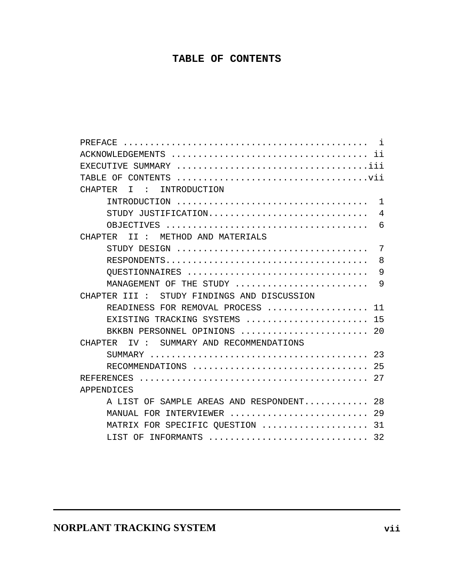# **TABLE OF CONTENTS**

| PREFACE                                                                            |
|------------------------------------------------------------------------------------|
|                                                                                    |
|                                                                                    |
|                                                                                    |
| INTRODUCTION<br><b>CHAPTER</b><br>$T \cdot \cdot \cdot$                            |
|                                                                                    |
| STUDY JUSTIFICATION<br>4                                                           |
| 6                                                                                  |
| II : METHOD AND MATERIALS<br>CHAPTER                                               |
| 7                                                                                  |
| 8                                                                                  |
| OUESTIONNAIRES<br>9                                                                |
| MANAGEMENT OF THE STUDY<br>9                                                       |
| CHAPTER III : STUDY FINDINGS AND DISCUSSION                                        |
| READINESS FOR REMOVAL PROCESS<br>11                                                |
| 15<br>EXISTING TRACKING SYSTEMS $\ldots \ldots \ldots \ldots \ldots \ldots \ldots$ |
| BKKBN PERSONNEL OPINIONS  20                                                       |
| IV : SUMMARY AND RECOMMENDATIONS<br>CHAPTER                                        |
|                                                                                    |
|                                                                                    |
| RECOMMENDATIONS  25                                                                |
|                                                                                    |
| APPENDICES                                                                         |
| A LIST OF SAMPLE AREAS AND RESPONDENT 28                                           |
| 29<br>MANUAL FOR INTERVIEWER                                                       |
| 31<br>MATRIX FOR SPECIFIC QUESTION                                                 |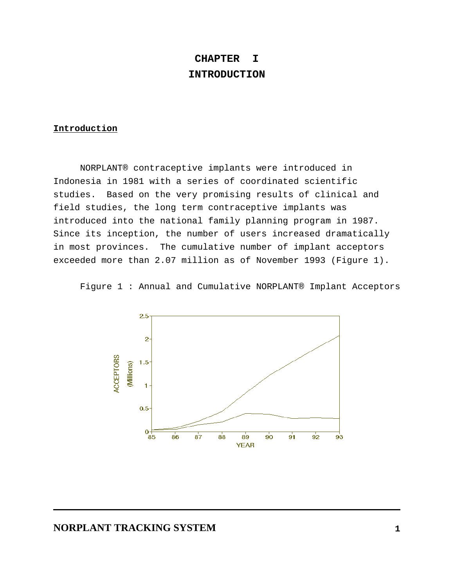# **CHAPTER I INTRODUCTION**

## **Introduction**

NORPLANT® contraceptive implants were introduced in Indonesia in 1981 with a series of coordinated scientific studies. Based on the very promising results of clinical and field studies, the long term contraceptive implants was introduced into the national family planning program in 1987. Since its inception, the number of users increased dramatically in most provinces. The cumulative number of implant acceptors exceeded more than 2.07 million as of November 1993 (Figure 1).

Figure 1 : Annual and Cumulative NORPLANT® Implant Acceptors

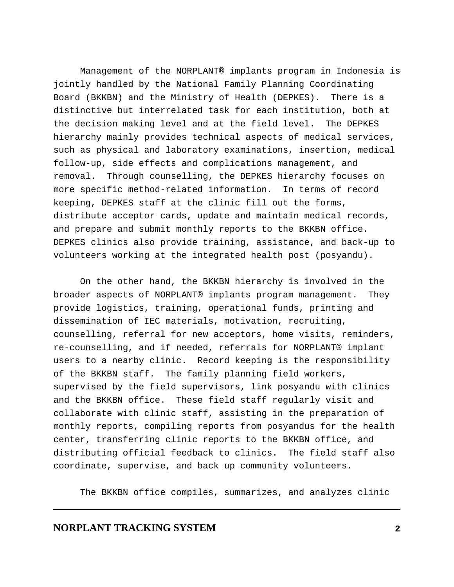Management of the NORPLANT® implants program in Indonesia is jointly handled by the National Family Planning Coordinating Board (BKKBN) and the Ministry of Health (DEPKES). There is a distinctive but interrelated task for each institution, both at the decision making level and at the field level. The DEPKES hierarchy mainly provides technical aspects of medical services, such as physical and laboratory examinations, insertion, medical follow-up, side effects and complications management, and removal. Through counselling, the DEPKES hierarchy focuses on more specific method-related information. In terms of record keeping, DEPKES staff at the clinic fill out the forms, distribute acceptor cards, update and maintain medical records, and prepare and submit monthly reports to the BKKBN office. DEPKES clinics also provide training, assistance, and back-up to volunteers working at the integrated health post (posyandu).

On the other hand, the BKKBN hierarchy is involved in the broader aspects of NORPLANT® implants program management. They provide logistics, training, operational funds, printing and dissemination of IEC materials, motivation, recruiting, counselling, referral for new acceptors, home visits, reminders, re-counselling, and if needed, referrals for NORPLANT® implant users to a nearby clinic. Record keeping is the responsibility of the BKKBN staff. The family planning field workers, supervised by the field supervisors, link posyandu with clinics and the BKKBN office. These field staff regularly visit and collaborate with clinic staff, assisting in the preparation of monthly reports, compiling reports from posyandus for the health center, transferring clinic reports to the BKKBN office, and distributing official feedback to clinics. The field staff also coordinate, supervise, and back up community volunteers.

The BKKBN office compiles, summarizes, and analyzes clinic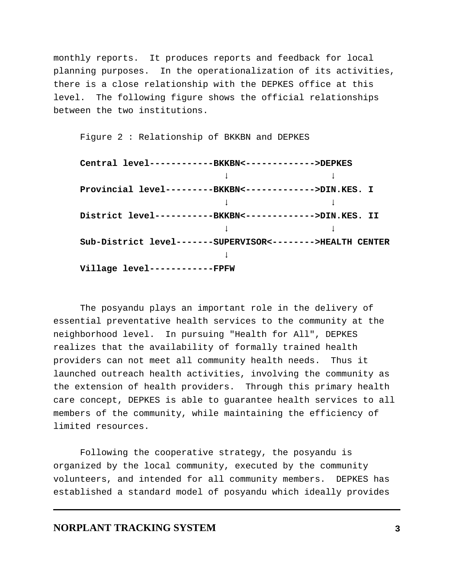monthly reports. It produces reports and feedback for local planning purposes. In the operationalization of its activities, there is a close relationship with the DEPKES office at this level. The following figure shows the official relationships between the two institutions.

Figure 2 : Relationship of BKKBN and DEPKES

| Central level-----------BKKBN<------------>DEPKES          |  |
|------------------------------------------------------------|--|
|                                                            |  |
| Provincial level---------BKKBN<------------->DIN.KES. I    |  |
|                                                            |  |
| District level-----------BKKBN<------------->DIN.KES. II   |  |
|                                                            |  |
| Sub-District level-------SUPERVISOR<-------->HEALTH CENTER |  |
|                                                            |  |
| Village level------------FPFW                              |  |

The posyandu plays an important role in the delivery of essential preventative health services to the community at the neighborhood level. In pursuing "Health for All", DEPKES realizes that the availability of formally trained health providers can not meet all community health needs. Thus it launched outreach health activities, involving the community as the extension of health providers. Through this primary health care concept, DEPKES is able to guarantee health services to all members of the community, while maintaining the efficiency of limited resources.

Following the cooperative strategy, the posyandu is organized by the local community, executed by the community volunteers, and intended for all community members. DEPKES has established a standard model of posyandu which ideally provides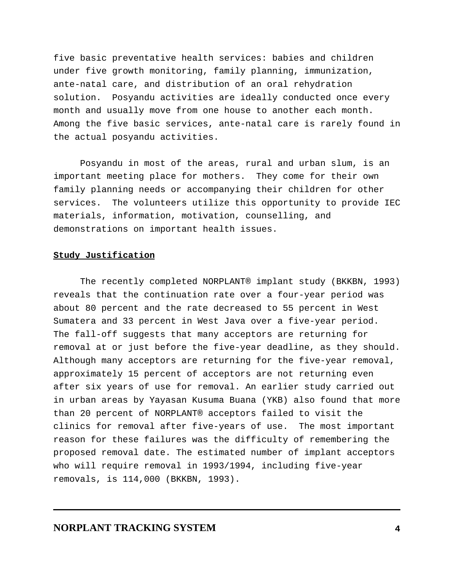five basic preventative health services: babies and children under five growth monitoring, family planning, immunization, ante-natal care, and distribution of an oral rehydration solution. Posyandu activities are ideally conducted once every month and usually move from one house to another each month. Among the five basic services, ante-natal care is rarely found in the actual posyandu activities.

Posyandu in most of the areas, rural and urban slum, is an important meeting place for mothers. They come for their own family planning needs or accompanying their children for other services. The volunteers utilize this opportunity to provide IEC materials, information, motivation, counselling, and demonstrations on important health issues.

### **Study Justification**

The recently completed NORPLANT® implant study (BKKBN, 1993) reveals that the continuation rate over a four-year period was about 80 percent and the rate decreased to 55 percent in West Sumatera and 33 percent in West Java over a five-year period. The fall-off suggests that many acceptors are returning for removal at or just before the five-year deadline, as they should. Although many acceptors are returning for the five-year removal, approximately 15 percent of acceptors are not returning even after six years of use for removal. An earlier study carried out in urban areas by Yayasan Kusuma Buana (YKB) also found that more than 20 percent of NORPLANT® acceptors failed to visit the clinics for removal after five-years of use. The most important reason for these failures was the difficulty of remembering the proposed removal date. The estimated number of implant acceptors who will require removal in 1993/1994, including five-year removals, is 114,000 (BKKBN, 1993).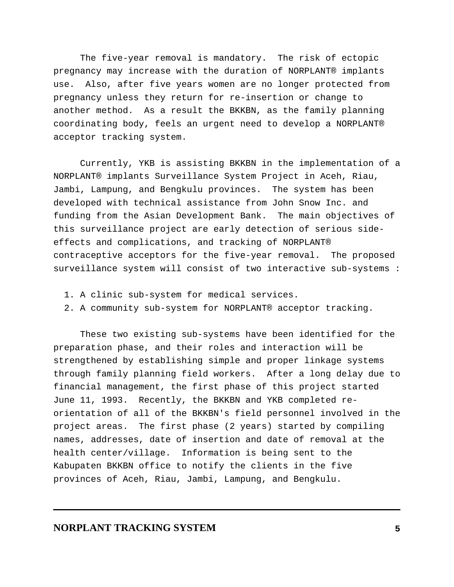The five-year removal is mandatory. The risk of ectopic pregnancy may increase with the duration of NORPLANT® implants use. Also, after five years women are no longer protected from pregnancy unless they return for re-insertion or change to another method. As a result the BKKBN, as the family planning coordinating body, feels an urgent need to develop a NORPLANT® acceptor tracking system.

Currently, YKB is assisting BKKBN in the implementation of a NORPLANT® implants Surveillance System Project in Aceh, Riau, Jambi, Lampung, and Bengkulu provinces. The system has been developed with technical assistance from John Snow Inc. and funding from the Asian Development Bank. The main objectives of this surveillance project are early detection of serious sideeffects and complications, and tracking of NORPLANT® contraceptive acceptors for the five-year removal. The proposed surveillance system will consist of two interactive sub-systems :

- 1. A clinic sub-system for medical services.
- 2. A community sub-system for NORPLANT® acceptor tracking.

These two existing sub-systems have been identified for the preparation phase, and their roles and interaction will be strengthened by establishing simple and proper linkage systems through family planning field workers. After a long delay due to financial management, the first phase of this project started June 11, 1993. Recently, the BKKBN and YKB completed reorientation of all of the BKKBN's field personnel involved in the project areas. The first phase (2 years) started by compiling names, addresses, date of insertion and date of removal at the health center/village. Information is being sent to the Kabupaten BKKBN office to notify the clients in the five provinces of Aceh, Riau, Jambi, Lampung, and Bengkulu.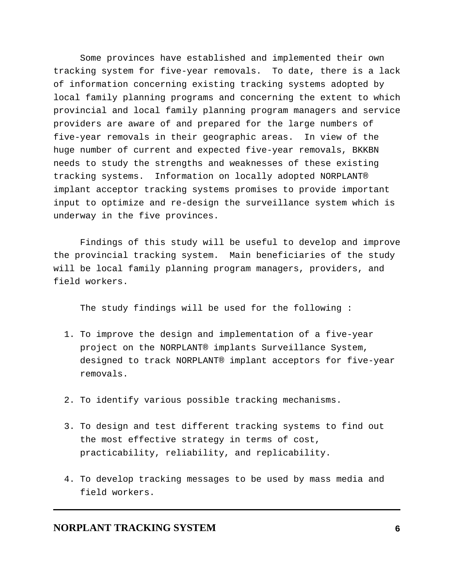Some provinces have established and implemented their own tracking system for five-year removals. To date, there is a lack of information concerning existing tracking systems adopted by local family planning programs and concerning the extent to which provincial and local family planning program managers and service providers are aware of and prepared for the large numbers of five-year removals in their geographic areas. In view of the huge number of current and expected five-year removals, BKKBN needs to study the strengths and weaknesses of these existing tracking systems. Information on locally adopted NORPLANT® implant acceptor tracking systems promises to provide important input to optimize and re-design the surveillance system which is underway in the five provinces.

Findings of this study will be useful to develop and improve the provincial tracking system. Main beneficiaries of the study will be local family planning program managers, providers, and field workers.

The study findings will be used for the following :

- 1. To improve the design and implementation of a five-year project on the NORPLANT® implants Surveillance System, designed to track NORPLANT® implant acceptors for five-year removals.
- 2. To identify various possible tracking mechanisms.
- 3. To design and test different tracking systems to find out the most effective strategy in terms of cost, practicability, reliability, and replicability.
- 4. To develop tracking messages to be used by mass media and field workers.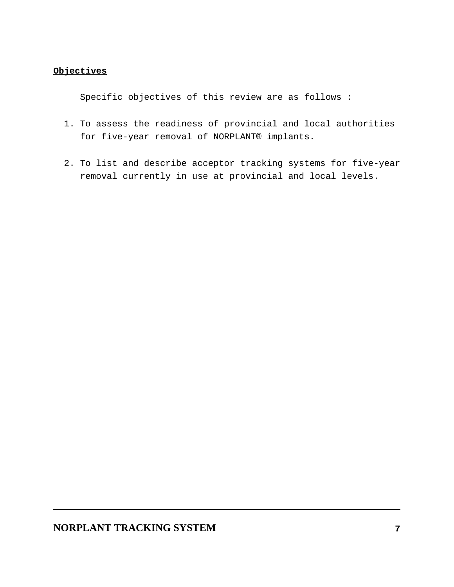## **Objectives**

Specific objectives of this review are as follows :

- 1. To assess the readiness of provincial and local authorities for five-year removal of NORPLANT® implants.
- 2. To list and describe acceptor tracking systems for five-year removal currently in use at provincial and local levels.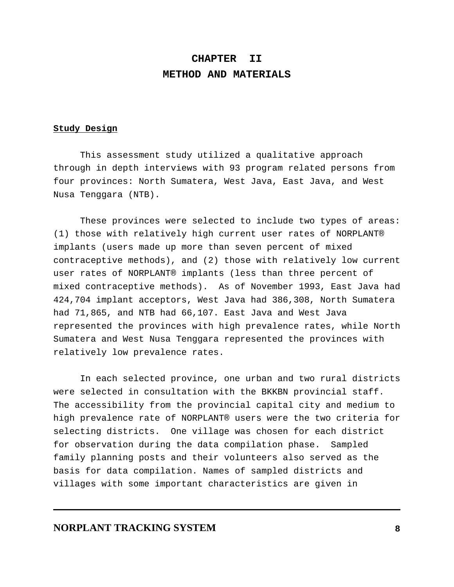# **CHAPTER II METHOD AND MATERIALS**

#### **Study Design**

This assessment study utilized a qualitative approach through in depth interviews with 93 program related persons from four provinces: North Sumatera, West Java, East Java, and West Nusa Tenggara (NTB).

These provinces were selected to include two types of areas: (1) those with relatively high current user rates of NORPLANT® implants (users made up more than seven percent of mixed contraceptive methods), and (2) those with relatively low current user rates of NORPLANT® implants (less than three percent of mixed contraceptive methods). As of November 1993, East Java had 424,704 implant acceptors, West Java had 386,308, North Sumatera had 71,865, and NTB had 66,107. East Java and West Java represented the provinces with high prevalence rates, while North Sumatera and West Nusa Tenggara represented the provinces with relatively low prevalence rates.

In each selected province, one urban and two rural districts were selected in consultation with the BKKBN provincial staff. The accessibility from the provincial capital city and medium to high prevalence rate of NORPLANT® users were the two criteria for selecting districts. One village was chosen for each district for observation during the data compilation phase. Sampled family planning posts and their volunteers also served as the basis for data compilation. Names of sampled districts and villages with some important characteristics are given in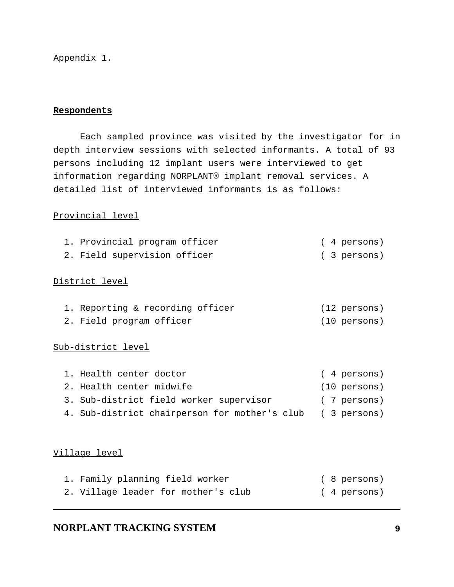Appendix 1.

### **Respondents**

Each sampled province was visited by the investigator for in depth interview sessions with selected informants. A total of 93 persons including 12 implant users were interviewed to get information regarding NORPLANT® implant removal services. A detailed list of interviewed informants is as follows:

### Provincial level

| 1. Provincial program officer |  |  | $(4 \text{ persons})$ |
|-------------------------------|--|--|-----------------------|
|                               |  |  |                       |

# 2. Field supervision officer (3 persons)

## District level

| 1. Reporting & recording officer |  | (12 persons) |
|----------------------------------|--|--------------|
| 2. Field program officer         |  | (10 persons) |

### Sub-district level

| 1. Health center doctor                                   | (4 persons)            |
|-----------------------------------------------------------|------------------------|
| 2. Health center midwife                                  | $(10 \text{ persons})$ |
| 3. Sub-district field worker supervisor                   | (7 persons)            |
| 4. Sub-district chairperson for mother's club (3 persons) |                        |

## Village level

| 1. Family planning field worker     | ( 8 persons) |
|-------------------------------------|--------------|
| 2. Village leader for mother's club | ( 4 persons) |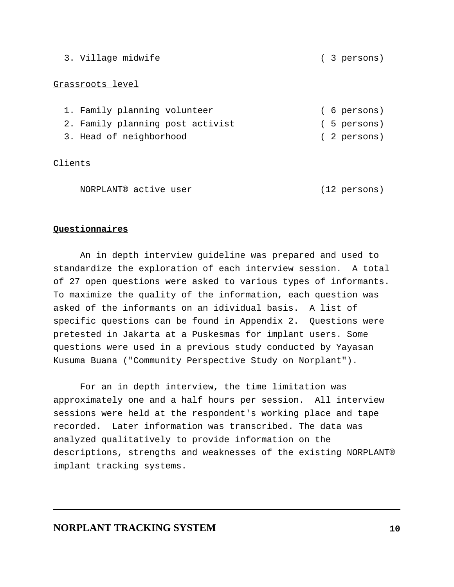### Grassroots level

| 1. Family planning volunteer     |  | ( 6 persons) |
|----------------------------------|--|--------------|
| 2. Family planning post activist |  | ( 5 persons) |
| 3. Head of neighborhood          |  | (2 persons)  |

Clients

NORPLANT® active user (12 persons)

### **Questionnaires**

An in depth interview guideline was prepared and used to standardize the exploration of each interview session. A total of 27 open questions were asked to various types of informants. To maximize the quality of the information, each question was asked of the informants on an idividual basis. A list of specific questions can be found in Appendix 2. Questions were pretested in Jakarta at a Puskesmas for implant users. Some questions were used in a previous study conducted by Yayasan Kusuma Buana ("Community Perspective Study on Norplant").

For an in depth interview, the time limitation was approximately one and a half hours per session. All interview sessions were held at the respondent's working place and tape recorded. Later information was transcribed. The data was analyzed qualitatively to provide information on the descriptions, strengths and weaknesses of the existing NORPLANT® implant tracking systems.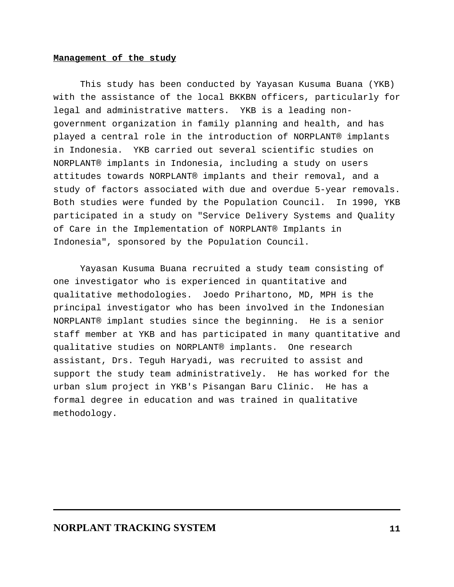#### **Management of the study**

This study has been conducted by Yayasan Kusuma Buana (YKB) with the assistance of the local BKKBN officers, particularly for legal and administrative matters. YKB is a leading nongovernment organization in family planning and health, and has played a central role in the introduction of NORPLANT® implants in Indonesia. YKB carried out several scientific studies on NORPLANT® implants in Indonesia, including a study on users attitudes towards NORPLANT® implants and their removal, and a study of factors associated with due and overdue 5-year removals. Both studies were funded by the Population Council. In 1990, YKB participated in a study on "Service Delivery Systems and Quality of Care in the Implementation of NORPLANT® Implants in Indonesia", sponsored by the Population Council.

Yayasan Kusuma Buana recruited a study team consisting of one investigator who is experienced in quantitative and qualitative methodologies. Joedo Prihartono, MD, MPH is the principal investigator who has been involved in the Indonesian NORPLANT® implant studies since the beginning. He is a senior staff member at YKB and has participated in many quantitative and qualitative studies on NORPLANT® implants. One research assistant, Drs. Teguh Haryadi, was recruited to assist and support the study team administratively. He has worked for the urban slum project in YKB's Pisangan Baru Clinic. He has a formal degree in education and was trained in qualitative methodology.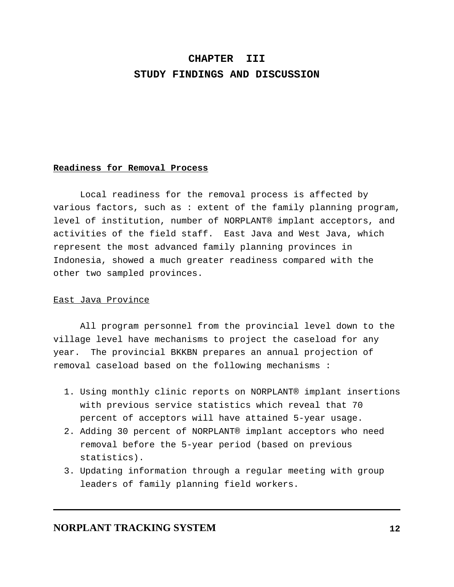# **CHAPTER III STUDY FINDINGS AND DISCUSSION**

#### **Readiness for Removal Process**

Local readiness for the removal process is affected by various factors, such as : extent of the family planning program, level of institution, number of NORPLANT® implant acceptors, and activities of the field staff. East Java and West Java, which represent the most advanced family planning provinces in Indonesia, showed a much greater readiness compared with the other two sampled provinces.

#### East Java Province

All program personnel from the provincial level down to the village level have mechanisms to project the caseload for any year. The provincial BKKBN prepares an annual projection of removal caseload based on the following mechanisms :

- 1. Using monthly clinic reports on NORPLANT® implant insertions with previous service statistics which reveal that 70 percent of acceptors will have attained 5-year usage.
- 2. Adding 30 percent of NORPLANT® implant acceptors who need removal before the 5-year period (based on previous statistics).
- 3. Updating information through a regular meeting with group leaders of family planning field workers.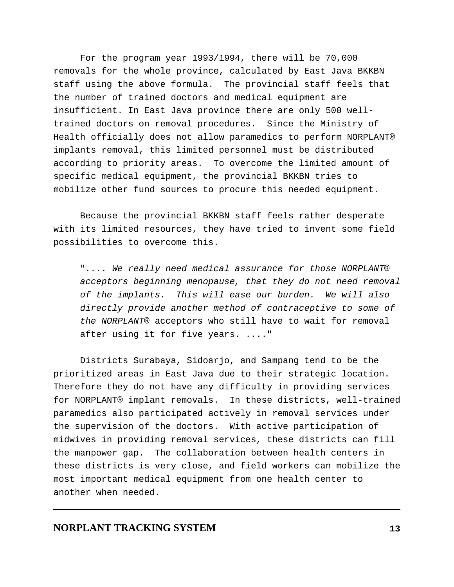For the program year 1993/1994, there will be 70,000 removals for the whole province, calculated by East Java BKKBN staff using the above formula. The provincial staff feels that the number of trained doctors and medical equipment are insufficient. In East Java province there are only 500 welltrained doctors on removal procedures. Since the Ministry of Health officially does not allow paramedics to perform NORPLANT® implants removal, this limited personnel must be distributed according to priority areas. To overcome the limited amount of specific medical equipment, the provincial BKKBN tries to mobilize other fund sources to procure this needed equipment.

Because the provincial BKKBN staff feels rather desperate with its limited resources, they have tried to invent some field possibilities to overcome this.

".... We really need medical assurance for those NORPLANT® acceptors beginning menopause, that they do not need removal of the implants. This will ease our burden. We will also directly provide another method of contraceptive to some of the NORPLANT® acceptors who still have to wait for removal after using it for five years. ...."

Districts Surabaya, Sidoarjo, and Sampang tend to be the prioritized areas in East Java due to their strategic location. Therefore they do not have any difficulty in providing services for NORPLANT® implant removals. In these districts, well-trained paramedics also participated actively in removal services under the supervision of the doctors. With active participation of midwives in providing removal services, these districts can fill the manpower gap. The collaboration between health centers in these districts is very close, and field workers can mobilize the most important medical equipment from one health center to another when needed.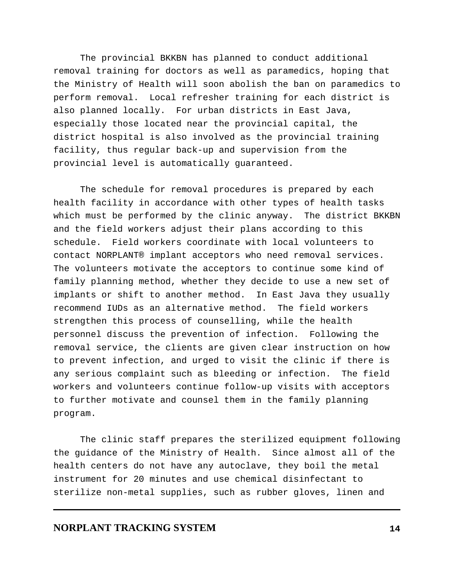The provincial BKKBN has planned to conduct additional removal training for doctors as well as paramedics, hoping that the Ministry of Health will soon abolish the ban on paramedics to perform removal. Local refresher training for each district is also planned locally. For urban districts in East Java, especially those located near the provincial capital, the district hospital is also involved as the provincial training facility, thus regular back-up and supervision from the provincial level is automatically guaranteed.

The schedule for removal procedures is prepared by each health facility in accordance with other types of health tasks which must be performed by the clinic anyway. The district BKKBN and the field workers adjust their plans according to this schedule. Field workers coordinate with local volunteers to contact NORPLANT® implant acceptors who need removal services. The volunteers motivate the acceptors to continue some kind of family planning method, whether they decide to use a new set of implants or shift to another method. In East Java they usually recommend IUDs as an alternative method. The field workers strengthen this process of counselling, while the health personnel discuss the prevention of infection. Following the removal service, the clients are given clear instruction on how to prevent infection, and urged to visit the clinic if there is any serious complaint such as bleeding or infection. The field workers and volunteers continue follow-up visits with acceptors to further motivate and counsel them in the family planning program.

The clinic staff prepares the sterilized equipment following the guidance of the Ministry of Health. Since almost all of the health centers do not have any autoclave, they boil the metal instrument for 20 minutes and use chemical disinfectant to sterilize non-metal supplies, such as rubber gloves, linen and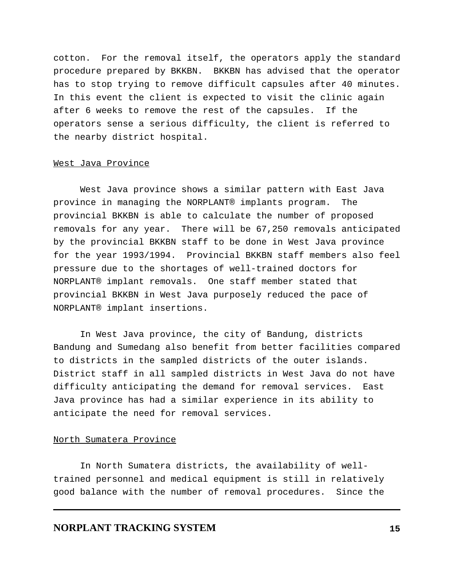cotton. For the removal itself, the operators apply the standard procedure prepared by BKKBN. BKKBN has advised that the operator has to stop trying to remove difficult capsules after 40 minutes. In this event the client is expected to visit the clinic again after 6 weeks to remove the rest of the capsules. If the operators sense a serious difficulty, the client is referred to the nearby district hospital.

### West Java Province

West Java province shows a similar pattern with East Java province in managing the NORPLANT® implants program. The provincial BKKBN is able to calculate the number of proposed removals for any year. There will be 67,250 removals anticipated by the provincial BKKBN staff to be done in West Java province for the year 1993/1994. Provincial BKKBN staff members also feel pressure due to the shortages of well-trained doctors for NORPLANT® implant removals. One staff member stated that provincial BKKBN in West Java purposely reduced the pace of NORPLANT® implant insertions.

In West Java province, the city of Bandung, districts Bandung and Sumedang also benefit from better facilities compared to districts in the sampled districts of the outer islands. District staff in all sampled districts in West Java do not have difficulty anticipating the demand for removal services. East Java province has had a similar experience in its ability to anticipate the need for removal services.

#### North Sumatera Province

In North Sumatera districts, the availability of welltrained personnel and medical equipment is still in relatively good balance with the number of removal procedures. Since the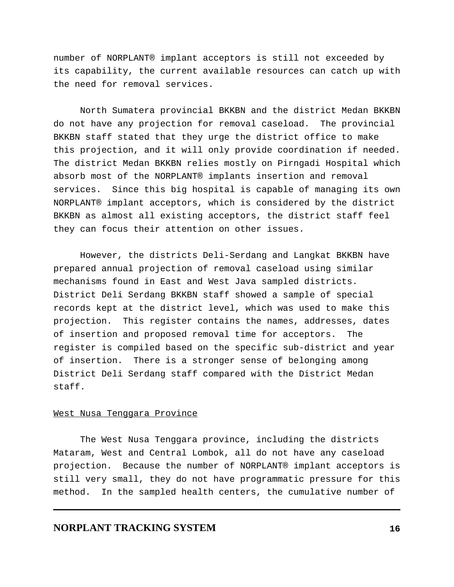number of NORPLANT® implant acceptors is still not exceeded by its capability, the current available resources can catch up with the need for removal services.

North Sumatera provincial BKKBN and the district Medan BKKBN do not have any projection for removal caseload. The provincial BKKBN staff stated that they urge the district office to make this projection, and it will only provide coordination if needed. The district Medan BKKBN relies mostly on Pirngadi Hospital which absorb most of the NORPLANT® implants insertion and removal services. Since this big hospital is capable of managing its own NORPLANT® implant acceptors, which is considered by the district BKKBN as almost all existing acceptors, the district staff feel they can focus their attention on other issues.

However, the districts Deli-Serdang and Langkat BKKBN have prepared annual projection of removal caseload using similar mechanisms found in East and West Java sampled districts. District Deli Serdang BKKBN staff showed a sample of special records kept at the district level, which was used to make this projection. This register contains the names, addresses, dates of insertion and proposed removal time for acceptors. The register is compiled based on the specific sub-district and year of insertion. There is a stronger sense of belonging among District Deli Serdang staff compared with the District Medan staff.

#### West Nusa Tenggara Province

The West Nusa Tenggara province, including the districts Mataram, West and Central Lombok, all do not have any caseload projection. Because the number of NORPLANT® implant acceptors is still very small, they do not have programmatic pressure for this method. In the sampled health centers, the cumulative number of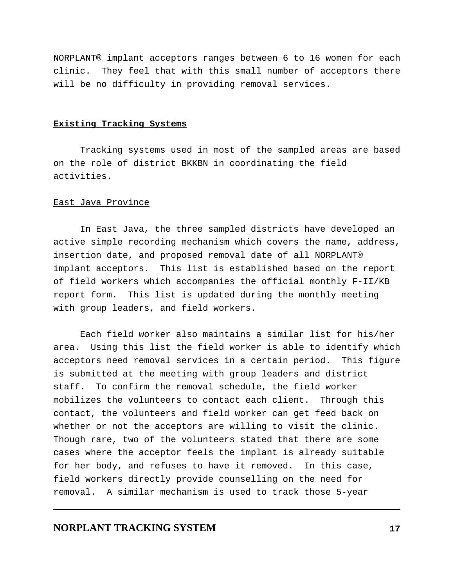NORPLANT® implant acceptors ranges between 6 to 16 women for each clinic. They feel that with this small number of acceptors there will be no difficulty in providing removal services.

## **Existing Tracking Systems**

Tracking systems used in most of the sampled areas are based on the role of district BKKBN in coordinating the field activities.

#### East Java Province

In East Java, the three sampled districts have developed an active simple recording mechanism which covers the name, address, insertion date, and proposed removal date of all NORPLANT® implant acceptors. This list is established based on the report of field workers which accompanies the official monthly F-II/KB report form. This list is updated during the monthly meeting with group leaders, and field workers.

Each field worker also maintains a similar list for his/her area. Using this list the field worker is able to identify which acceptors need removal services in a certain period. This figure is submitted at the meeting with group leaders and district staff. To confirm the removal schedule, the field worker mobilizes the volunteers to contact each client. Through this contact, the volunteers and field worker can get feed back on whether or not the acceptors are willing to visit the clinic. Though rare, two of the volunteers stated that there are some cases where the acceptor feels the implant is already suitable for her body, and refuses to have it removed. In this case, field workers directly provide counselling on the need for removal. A similar mechanism is used to track those 5-year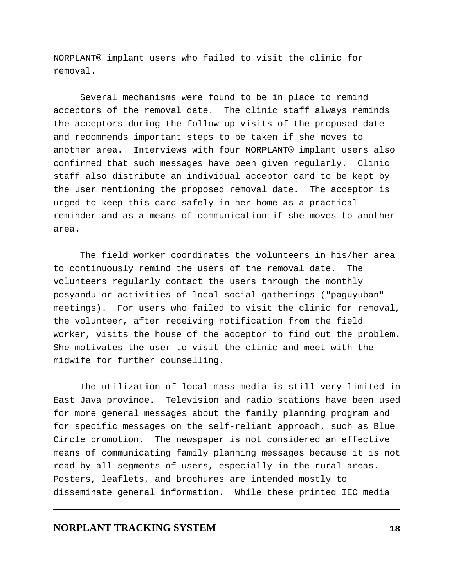NORPLANT® implant users who failed to visit the clinic for removal.

Several mechanisms were found to be in place to remind acceptors of the removal date. The clinic staff always reminds the acceptors during the follow up visits of the proposed date and recommends important steps to be taken if she moves to another area. Interviews with four NORPLANT® implant users also confirmed that such messages have been given regularly. Clinic staff also distribute an individual acceptor card to be kept by the user mentioning the proposed removal date. The acceptor is urged to keep this card safely in her home as a practical reminder and as a means of communication if she moves to another area.

The field worker coordinates the volunteers in his/her area to continuously remind the users of the removal date. The volunteers regularly contact the users through the monthly posyandu or activities of local social gatherings ("paguyuban" meetings). For users who failed to visit the clinic for removal, the volunteer, after receiving notification from the field worker, visits the house of the acceptor to find out the problem. She motivates the user to visit the clinic and meet with the midwife for further counselling.

The utilization of local mass media is still very limited in East Java province. Television and radio stations have been used for more general messages about the family planning program and for specific messages on the self-reliant approach, such as Blue Circle promotion. The newspaper is not considered an effective means of communicating family planning messages because it is not read by all segments of users, especially in the rural areas. Posters, leaflets, and brochures are intended mostly to disseminate general information. While these printed IEC media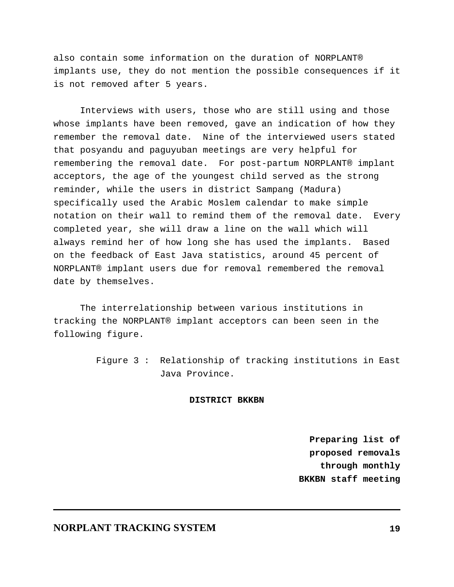also contain some information on the duration of NORPLANT® implants use, they do not mention the possible consequences if it is not removed after 5 years.

Interviews with users, those who are still using and those whose implants have been removed, gave an indication of how they remember the removal date. Nine of the interviewed users stated that posyandu and paguyuban meetings are very helpful for remembering the removal date. For post-partum NORPLANT® implant acceptors, the age of the youngest child served as the strong reminder, while the users in district Sampang (Madura) specifically used the Arabic Moslem calendar to make simple notation on their wall to remind them of the removal date. Every completed year, she will draw a line on the wall which will always remind her of how long she has used the implants. Based on the feedback of East Java statistics, around 45 percent of NORPLANT® implant users due for removal remembered the removal date by themselves.

The interrelationship between various institutions in tracking the NORPLANT® implant acceptors can been seen in the following figure.

> Figure 3 : Relationship of tracking institutions in East Java Province.

## **DISTRICT BKKBN**

 **Preparing list of proposed removals through monthly BKKBN staff meeting**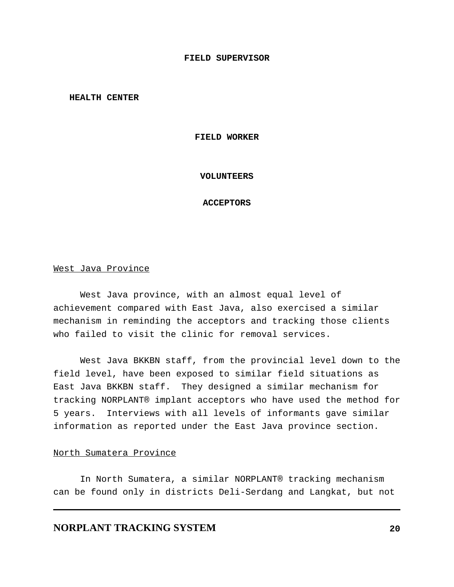#### **FIELD SUPERVISOR**

**HEALTH CENTER** 

#### **FIELD WORKER**

#### **VOLUNTEERS**

#### **ACCEPTORS**

#### West Java Province

West Java province, with an almost equal level of achievement compared with East Java, also exercised a similar mechanism in reminding the acceptors and tracking those clients who failed to visit the clinic for removal services.

West Java BKKBN staff, from the provincial level down to the field level, have been exposed to similar field situations as East Java BKKBN staff. They designed a similar mechanism for tracking NORPLANT® implant acceptors who have used the method for 5 years. Interviews with all levels of informants gave similar information as reported under the East Java province section.

#### North Sumatera Province

In North Sumatera, a similar NORPLANT® tracking mechanism can be found only in districts Deli-Serdang and Langkat, but not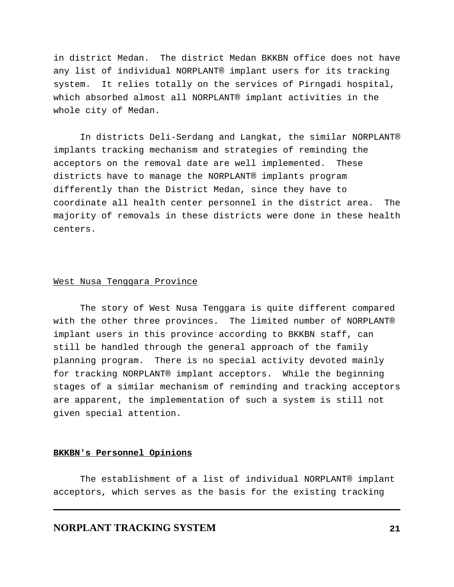in district Medan. The district Medan BKKBN office does not have any list of individual NORPLANT® implant users for its tracking system. It relies totally on the services of Pirngadi hospital, which absorbed almost all NORPLANT® implant activities in the whole city of Medan.

In districts Deli-Serdang and Langkat, the similar NORPLANT® implants tracking mechanism and strategies of reminding the acceptors on the removal date are well implemented. These districts have to manage the NORPLANT® implants program differently than the District Medan, since they have to coordinate all health center personnel in the district area. The majority of removals in these districts were done in these health centers.

#### West Nusa Tenggara Province

The story of West Nusa Tenggara is quite different compared with the other three provinces. The limited number of NORPLANT® implant users in this province according to BKKBN staff, can still be handled through the general approach of the family planning program. There is no special activity devoted mainly for tracking NORPLANT® implant acceptors. While the beginning stages of a similar mechanism of reminding and tracking acceptors are apparent, the implementation of such a system is still not given special attention.

#### **BKKBN's Personnel Opinions**

The establishment of a list of individual NORPLANT® implant acceptors, which serves as the basis for the existing tracking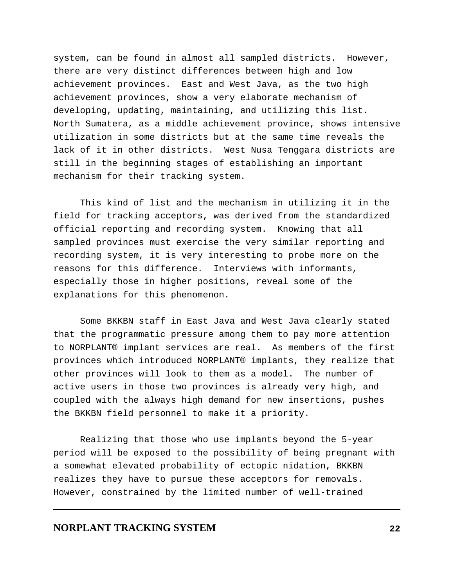system, can be found in almost all sampled districts. However, there are very distinct differences between high and low achievement provinces. East and West Java, as the two high achievement provinces, show a very elaborate mechanism of developing, updating, maintaining, and utilizing this list. North Sumatera, as a middle achievement province, shows intensive utilization in some districts but at the same time reveals the lack of it in other districts. West Nusa Tenggara districts are still in the beginning stages of establishing an important mechanism for their tracking system.

This kind of list and the mechanism in utilizing it in the field for tracking acceptors, was derived from the standardized official reporting and recording system. Knowing that all sampled provinces must exercise the very similar reporting and recording system, it is very interesting to probe more on the reasons for this difference. Interviews with informants, especially those in higher positions, reveal some of the explanations for this phenomenon.

Some BKKBN staff in East Java and West Java clearly stated that the programmatic pressure among them to pay more attention to NORPLANT® implant services are real. As members of the first provinces which introduced NORPLANT® implants, they realize that other provinces will look to them as a model. The number of active users in those two provinces is already very high, and coupled with the always high demand for new insertions, pushes the BKKBN field personnel to make it a priority.

Realizing that those who use implants beyond the 5-year period will be exposed to the possibility of being pregnant with a somewhat elevated probability of ectopic nidation, BKKBN realizes they have to pursue these acceptors for removals. However, constrained by the limited number of well-trained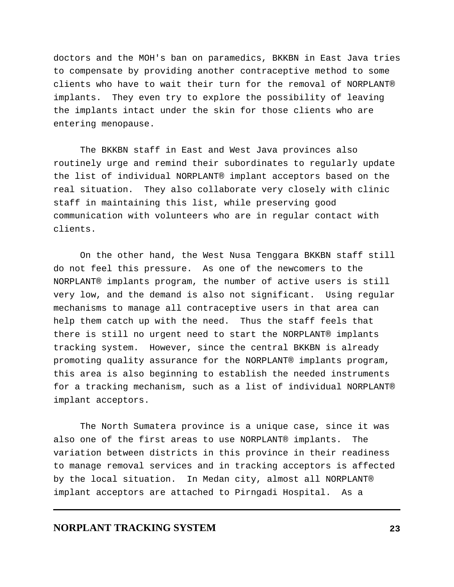doctors and the MOH's ban on paramedics, BKKBN in East Java tries to compensate by providing another contraceptive method to some clients who have to wait their turn for the removal of NORPLANT® implants. They even try to explore the possibility of leaving the implants intact under the skin for those clients who are entering menopause.

The BKKBN staff in East and West Java provinces also routinely urge and remind their subordinates to regularly update the list of individual NORPLANT® implant acceptors based on the real situation. They also collaborate very closely with clinic staff in maintaining this list, while preserving good communication with volunteers who are in regular contact with clients.

On the other hand, the West Nusa Tenggara BKKBN staff still do not feel this pressure. As one of the newcomers to the NORPLANT® implants program, the number of active users is still very low, and the demand is also not significant. Using regular mechanisms to manage all contraceptive users in that area can help them catch up with the need. Thus the staff feels that there is still no urgent need to start the NORPLANT® implants tracking system. However, since the central BKKBN is already promoting quality assurance for the NORPLANT® implants program, this area is also beginning to establish the needed instruments for a tracking mechanism, such as a list of individual NORPLANT® implant acceptors.

The North Sumatera province is a unique case, since it was also one of the first areas to use NORPLANT® implants. The variation between districts in this province in their readiness to manage removal services and in tracking acceptors is affected by the local situation. In Medan city, almost all NORPLANT® implant acceptors are attached to Pirngadi Hospital. As a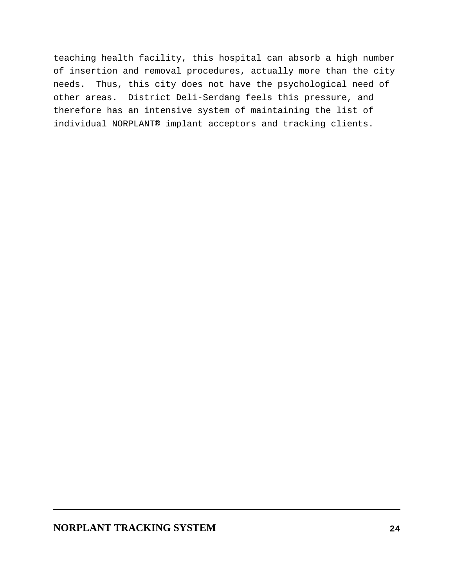teaching health facility, this hospital can absorb a high number of insertion and removal procedures, actually more than the city needs. Thus, this city does not have the psychological need of other areas. District Deli-Serdang feels this pressure, and therefore has an intensive system of maintaining the list of individual NORPLANT® implant acceptors and tracking clients.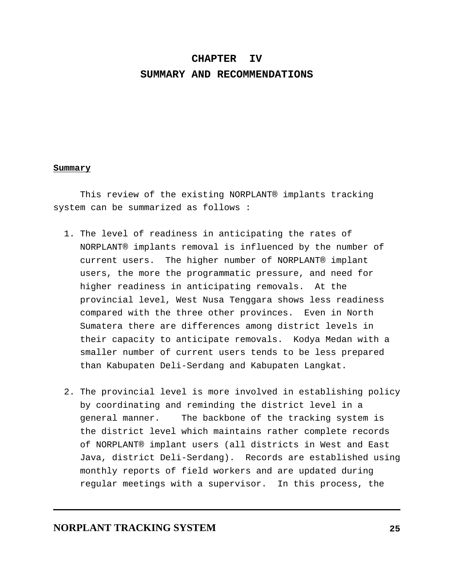#### **CHAPTER IV**

### **SUMMARY AND RECOMMENDATIONS**

#### **Summary**

This review of the existing NORPLANT® implants tracking system can be summarized as follows :

- 1. The level of readiness in anticipating the rates of NORPLANT® implants removal is influenced by the number of current users. The higher number of NORPLANT® implant users, the more the programmatic pressure, and need for higher readiness in anticipating removals. At the provincial level, West Nusa Tenggara shows less readiness compared with the three other provinces. Even in North Sumatera there are differences among district levels in their capacity to anticipate removals. Kodya Medan with a smaller number of current users tends to be less prepared than Kabupaten Deli-Serdang and Kabupaten Langkat.
- 2. The provincial level is more involved in establishing policy by coordinating and reminding the district level in a general manner. The backbone of the tracking system is the district level which maintains rather complete records of NORPLANT® implant users (all districts in West and East Java, district Deli-Serdang). Records are established using monthly reports of field workers and are updated during regular meetings with a supervisor. In this process, the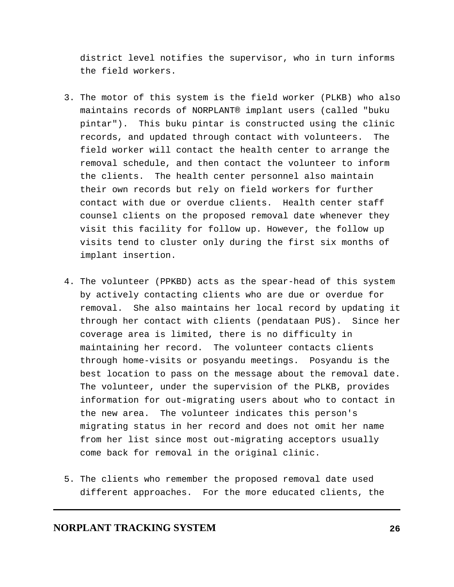district level notifies the supervisor, who in turn informs the field workers.

- 3. The motor of this system is the field worker (PLKB) who also maintains records of NORPLANT® implant users (called "buku pintar"). This buku pintar is constructed using the clinic records, and updated through contact with volunteers. The field worker will contact the health center to arrange the removal schedule, and then contact the volunteer to inform the clients. The health center personnel also maintain their own records but rely on field workers for further contact with due or overdue clients. Health center staff counsel clients on the proposed removal date whenever they visit this facility for follow up. However, the follow up visits tend to cluster only during the first six months of implant insertion.
- 4. The volunteer (PPKBD) acts as the spear-head of this system by actively contacting clients who are due or overdue for removal. She also maintains her local record by updating it through her contact with clients (pendataan PUS). Since her coverage area is limited, there is no difficulty in maintaining her record. The volunteer contacts clients through home-visits or posyandu meetings. Posyandu is the best location to pass on the message about the removal date. The volunteer, under the supervision of the PLKB, provides information for out-migrating users about who to contact in the new area. The volunteer indicates this person's migrating status in her record and does not omit her name from her list since most out-migrating acceptors usually come back for removal in the original clinic.
- 5. The clients who remember the proposed removal date used different approaches. For the more educated clients, the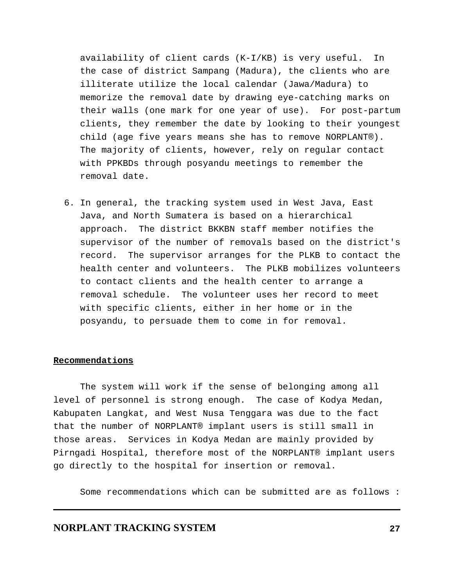availability of client cards (K-I/KB) is very useful. In the case of district Sampang (Madura), the clients who are illiterate utilize the local calendar (Jawa/Madura) to memorize the removal date by drawing eye-catching marks on their walls (one mark for one year of use). For post-partum clients, they remember the date by looking to their youngest child (age five years means she has to remove NORPLANT®). The majority of clients, however, rely on regular contact with PPKBDs through posyandu meetings to remember the removal date.

 6. In general, the tracking system used in West Java, East Java, and North Sumatera is based on a hierarchical approach. The district BKKBN staff member notifies the supervisor of the number of removals based on the district's record. The supervisor arranges for the PLKB to contact the health center and volunteers. The PLKB mobilizes volunteers to contact clients and the health center to arrange a removal schedule. The volunteer uses her record to meet with specific clients, either in her home or in the posyandu, to persuade them to come in for removal.

#### **Recommendations**

The system will work if the sense of belonging among all level of personnel is strong enough. The case of Kodya Medan, Kabupaten Langkat, and West Nusa Tenggara was due to the fact that the number of NORPLANT® implant users is still small in those areas. Services in Kodya Medan are mainly provided by Pirngadi Hospital, therefore most of the NORPLANT® implant users go directly to the hospital for insertion or removal.

Some recommendations which can be submitted are as follows :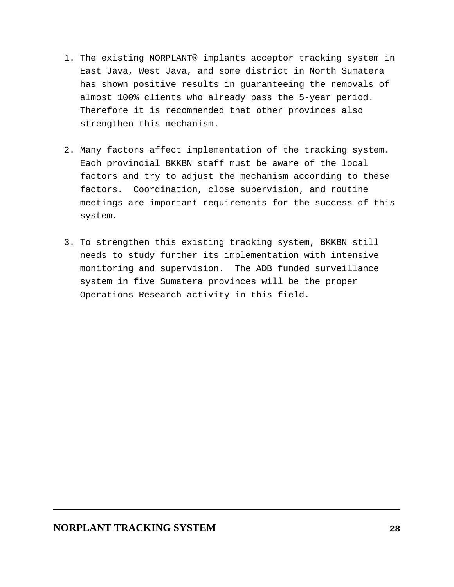- 1. The existing NORPLANT® implants acceptor tracking system in East Java, West Java, and some district in North Sumatera has shown positive results in guaranteeing the removals of almost 100% clients who already pass the 5-year period. Therefore it is recommended that other provinces also strengthen this mechanism.
- 2. Many factors affect implementation of the tracking system. Each provincial BKKBN staff must be aware of the local factors and try to adjust the mechanism according to these factors. Coordination, close supervision, and routine meetings are important requirements for the success of this system.
- 3. To strengthen this existing tracking system, BKKBN still needs to study further its implementation with intensive monitoring and supervision. The ADB funded surveillance system in five Sumatera provinces will be the proper Operations Research activity in this field.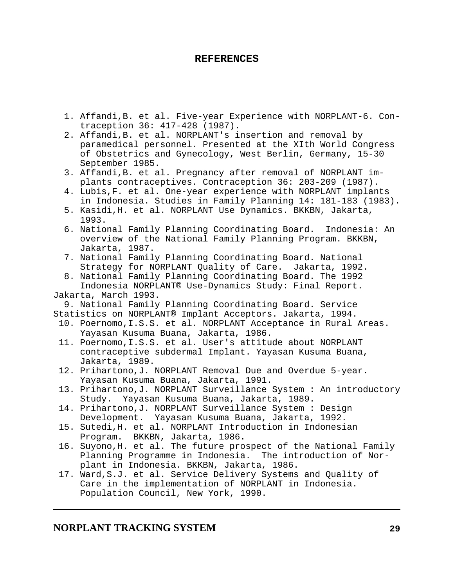## **REFERENCES**

- 1. Affandi,B. et al. Five-year Experience with NORPLANT-6. Contraception 36: 417-428 (1987).
- 2. Affandi,B. et al. NORPLANT's insertion and removal by paramedical personnel. Presented at the XIth World Congress of Obstetrics and Gynecology, West Berlin, Germany, 15-30 September 1985.
- 3. Affandi,B. et al. Pregnancy after removal of NORPLANT implants contraceptives. Contraception 36: 203-209 (1987).
- 4. Lubis,F. et al. One-year experience with NORPLANT implants in Indonesia. Studies in Family Planning 14: 181-183 (1983).
- 5. Kasidi,H. et al. NORPLANT Use Dynamics. BKKBN, Jakarta, 1993.
- 6. National Family Planning Coordinating Board. Indonesia: An overview of the National Family Planning Program. BKKBN, Jakarta, 1987.
- 7. National Family Planning Coordinating Board. National Strategy for NORPLANT Quality of Care. Jakarta, 1992.
- 8. National Family Planning Coordinating Board. The 1992 Indonesia NORPLANT® Use-Dynamics Study: Final Report.

### Jakarta, March 1993.

9. National Family Planning Coordinating Board. Service

- Statistics on NORPLANT® Implant Acceptors. Jakarta, 1994.
	- 10. Poernomo,I.S.S. et al. NORPLANT Acceptance in Rural Areas. Yayasan Kusuma Buana, Jakarta, 1986.
	- 11. Poernomo,I.S.S. et al. User's attitude about NORPLANT contraceptive subdermal Implant. Yayasan Kusuma Buana, Jakarta, 1989.
	- 12. Prihartono,J. NORPLANT Removal Due and Overdue 5-year. Yayasan Kusuma Buana, Jakarta, 1991.
	- 13. Prihartono,J. NORPLANT Surveillance System : An introductory Study. Yayasan Kusuma Buana, Jakarta, 1989.
	- 14. Prihartono,J. NORPLANT Surveillance System : Design Development. Yayasan Kusuma Buana, Jakarta, 1992.
	- 15. Sutedi,H. et al. NORPLANT Introduction in Indonesian Program. BKKBN, Jakarta, 1986.
	- 16. Suyono,H. et al. The future prospect of the National Family Planning Programme in Indonesia. The introduction of Norplant in Indonesia. BKKBN, Jakarta, 1986.
	- 17. Ward,S.J. et al. Service Delivery Systems and Quality of Care in the implementation of NORPLANT in Indonesia. Population Council, New York, 1990.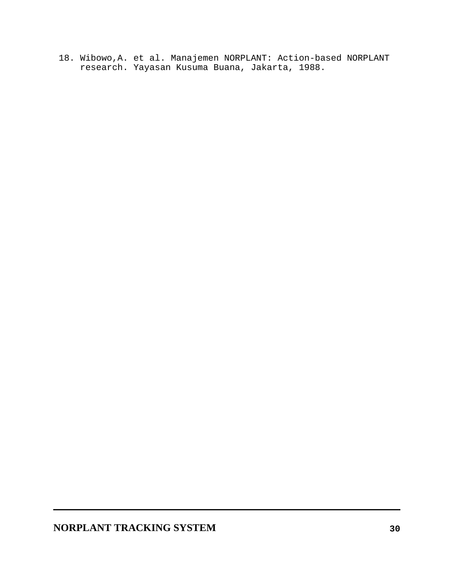18. Wibowo,A. et al. Manajemen NORPLANT: Action-based NORPLANT research. Yayasan Kusuma Buana, Jakarta, 1988.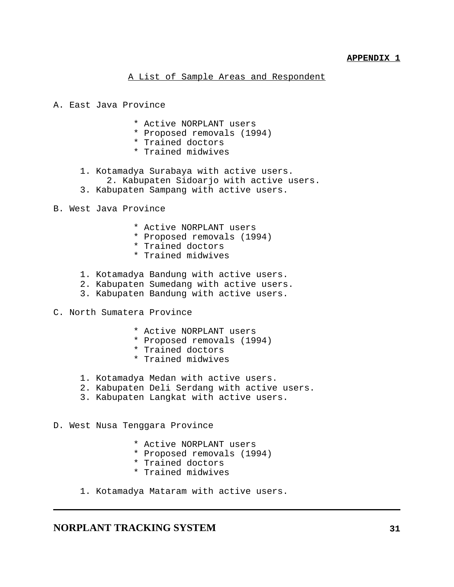## A List of Sample Areas and Respondent

- A. East Java Province
	- \* Active NORPLANT users
	- \* Proposed removals (1994)
	- \* Trained doctors
	- \* Trained midwives
	- 1. Kotamadya Surabaya with active users.
	- 2. Kabupaten Sidoarjo with active users.
	- 3. Kabupaten Sampang with active users.
- B. West Java Province
	- \* Active NORPLANT users
	- \* Proposed removals (1994)
	- \* Trained doctors
	- \* Trained midwives
	- 1. Kotamadya Bandung with active users.
	- 2. Kabupaten Sumedang with active users.
	- 3. Kabupaten Bandung with active users.
- C. North Sumatera Province
	- \* Active NORPLANT users
	- \* Proposed removals (1994)
	- \* Trained doctors
	- \* Trained midwives
	- 1. Kotamadya Medan with active users.
	- 2. Kabupaten Deli Serdang with active users.
	- 3. Kabupaten Langkat with active users.
- D. West Nusa Tenggara Province
	- \* Active NORPLANT users
	- \* Proposed removals (1994)
	- \* Trained doctors
	- \* Trained midwives
	- 1. Kotamadya Mataram with active users.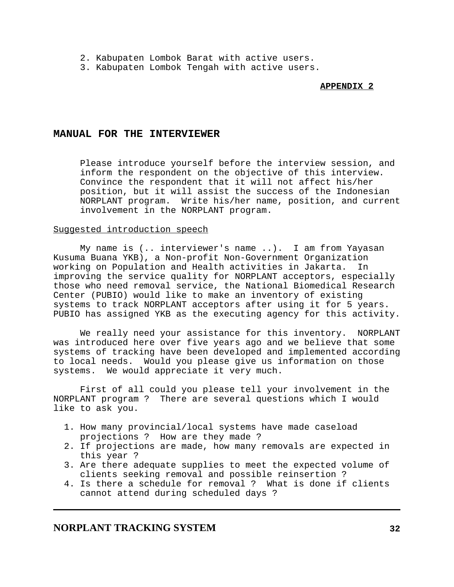- 2. Kabupaten Lombok Barat with active users.
- 3. Kabupaten Lombok Tengah with active users.

### **APPENDIX 2**

### **MANUAL FOR THE INTERVIEWER**

Please introduce yourself before the interview session, and inform the respondent on the objective of this interview. Convince the respondent that it will not affect his/her position, but it will assist the success of the Indonesian NORPLANT program. Write his/her name, position, and current involvement in the NORPLANT program.

#### Suggested introduction speech

My name is (.. interviewer's name ..). I am from Yayasan Kusuma Buana YKB), a Non-profit Non-Government Organization working on Population and Health activities in Jakarta. In improving the service quality for NORPLANT acceptors, especially those who need removal service, the National Biomedical Research Center (PUBIO) would like to make an inventory of existing systems to track NORPLANT acceptors after using it for 5 years. PUBIO has assigned YKB as the executing agency for this activity.

We really need your assistance for this inventory. NORPLANT was introduced here over five years ago and we believe that some systems of tracking have been developed and implemented according to local needs. Would you please give us information on those systems. We would appreciate it very much.

First of all could you please tell your involvement in the NORPLANT program ? There are several questions which I would like to ask you.

- 1. How many provincial/local systems have made caseload projections ? How are they made ?
- 2. If projections are made, how many removals are expected in this year ?
- 3. Are there adequate supplies to meet the expected volume of clients seeking removal and possible reinsertion ?
- 4. Is there a schedule for removal ? What is done if clients cannot attend during scheduled days ?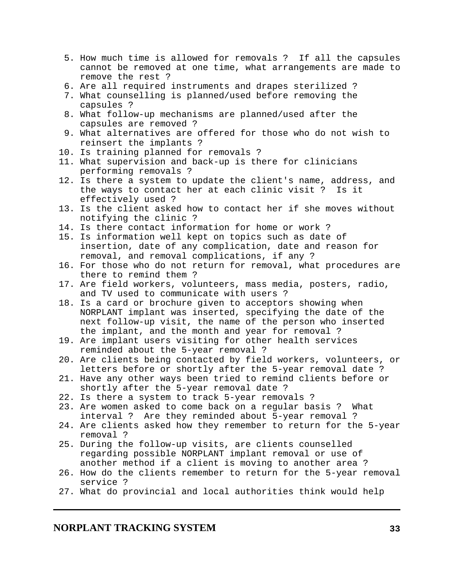- 5. How much time is allowed for removals ? If all the capsules cannot be removed at one time, what arrangements are made to remove the rest ?
- 6. Are all required instruments and drapes sterilized ?
- 7. What counselling is planned/used before removing the capsules ?
- 8. What follow-up mechanisms are planned/used after the capsules are removed ?
- 9. What alternatives are offered for those who do not wish to reinsert the implants ?
- 10. Is training planned for removals ?
- 11. What supervision and back-up is there for clinicians performing removals ?
- 12. Is there a system to update the client's name, address, and the ways to contact her at each clinic visit ? Is it effectively used ?
- 13. Is the client asked how to contact her if she moves without notifying the clinic ?
- 14. Is there contact information for home or work ?
- 15. Is information well kept on topics such as date of insertion, date of any complication, date and reason for removal, and removal complications, if any ?
- 16. For those who do not return for removal, what procedures are there to remind them ?
- 17. Are field workers, volunteers, mass media, posters, radio, and TV used to communicate with users ?
- 18. Is a card or brochure given to acceptors showing when NORPLANT implant was inserted, specifying the date of the next follow-up visit, the name of the person who inserted the implant, and the month and year for removal ?
- 19. Are implant users visiting for other health services reminded about the 5-year removal ?
- 20. Are clients being contacted by field workers, volunteers, or letters before or shortly after the 5-year removal date ?
- 21. Have any other ways been tried to remind clients before or shortly after the 5-year removal date ?
- 22. Is there a system to track 5-year removals ?
- 23. Are women asked to come back on a regular basis ? What interval ? Are they reminded about 5-year removal ?
- 24. Are clients asked how they remember to return for the 5-year removal ?
- 25. During the follow-up visits, are clients counselled regarding possible NORPLANT implant removal or use of another method if a client is moving to another area ?
- 26. How do the clients remember to return for the 5-year removal service ?
- 27. What do provincial and local authorities think would help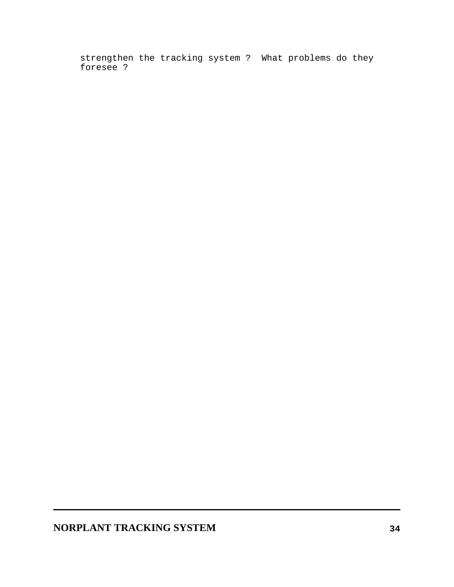strengthen the tracking system ? What problems do they foresee ?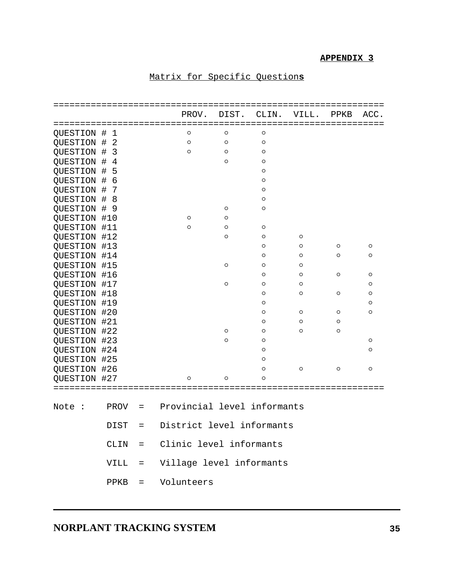## **APPENDIX 3**

# Matrix for Specific Question**s**

|                     |                        |          | PROV.                       | DIST.   | CLIN.   | VILL.   | PPKB    | ACC.    |
|---------------------|------------------------|----------|-----------------------------|---------|---------|---------|---------|---------|
|                     |                        |          |                             |         |         |         |         |         |
| QUESTION            | #<br>1                 |          | $\circ$                     | O       | O       |         |         |         |
| QUESTION            | $\#$<br>$\mathbf{2}$   |          | $\circ$                     | $\circ$ | $\circ$ |         |         |         |
| QUESTION            | 3<br>$\#$              |          | $\circ$                     | $\circ$ | $\circ$ |         |         |         |
| QUESTION            | $\overline{4}$<br>#    |          |                             | $\circ$ | $\circ$ |         |         |         |
| QUESTION            | 5<br>#                 |          |                             |         | $\circ$ |         |         |         |
| QUESTION            | $\overline{6}$<br>$\#$ |          |                             |         | $\circ$ |         |         |         |
| QUESTION            | $\#$<br>7              |          |                             |         | $\circ$ |         |         |         |
| QUESTION            | 8<br>#                 |          |                             |         | $\circ$ |         |         |         |
| <b>OUESTION</b>     | #<br>9                 |          |                             | $\circ$ | $\circ$ |         |         |         |
| QUESTION            | #10                    |          | $\circ$                     | O       |         |         |         |         |
| QUESTION            | #11                    |          | $\circ$                     | $\circ$ | $\circ$ |         |         |         |
| QUESTION #12        |                        |          |                             | $\circ$ | $\circ$ | $\circ$ |         |         |
| QUESTION            | #13                    |          |                             |         | $\circ$ | $\circ$ | $\circ$ | $\circ$ |
| QUESTION            | #14                    |          |                             |         | $\circ$ | $\circ$ | $\circ$ | O       |
| QUESTION #15        |                        |          |                             | $\circ$ | O       | $\circ$ |         |         |
| QUESTION #16        |                        |          |                             |         | $\circ$ | $\circ$ | $\circ$ | O       |
| QUESTION #17        |                        |          |                             | $\circ$ | $\circ$ | $\circ$ |         | O       |
| QUESTION #18        |                        |          |                             |         | $\circ$ | $\circ$ | $\circ$ | $\circ$ |
| <b>QUESTION #19</b> |                        |          |                             |         | O       |         |         | O       |
| QUESTION            | #20                    |          |                             |         | O       | $\circ$ | $\circ$ | $\circ$ |
| QUESTION #21        |                        |          |                             |         | O       | $\circ$ | O       |         |
| QUESTION #22        |                        |          |                             | $\circ$ | $\circ$ | $\circ$ | $\circ$ |         |
| QUESTION #23        |                        |          |                             | $\circ$ | $\circ$ |         |         | O       |
| QUESTION #24        |                        |          |                             |         | $\circ$ |         |         | $\circ$ |
| QUESTION #25        |                        |          |                             |         | $\circ$ |         |         |         |
| QUESTION #26        |                        |          |                             |         | $\circ$ | $\circ$ | $\circ$ | $\circ$ |
| QUESTION #27        |                        |          | O                           | $\circ$ | O       |         |         |         |
|                     |                        |          |                             |         |         |         |         |         |
| Note<br>- :         | PROV                   | $=$      | Provincial level informants |         |         |         |         |         |
|                     | <b>DIST</b>            | =        | District level informants   |         |         |         |         |         |
|                     | CLIN                   | $=$      | Clinic level informants     |         |         |         |         |         |
|                     | VILL                   | $=$      | Village level informants    |         |         |         |         |         |
|                     | PPKB                   | $\equiv$ | Volunteers                  |         |         |         |         |         |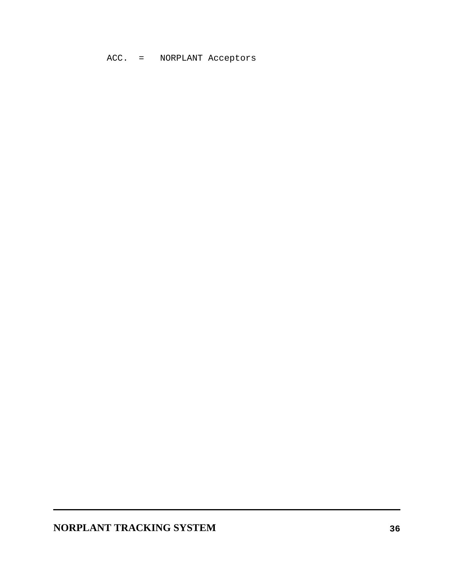ACC. = NORPLANT Acceptors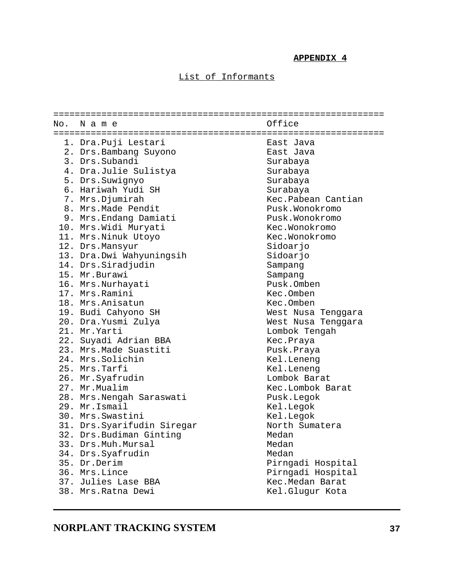### **APPENDIX 4**

## List of Informants

| No. | Name                        | Office             |
|-----|-----------------------------|--------------------|
|     |                             |                    |
|     | 1. Dra. Puji Lestari        | East Java          |
|     | 2. Drs.Bambang Suyono       | East Java          |
|     | 3. Drs. Subandi             | Surabaya           |
|     | 4. Dra.Julie Sulistya       | Surabaya           |
|     | 5. Drs. Suwignyo            | Surabaya           |
|     | 6. Hariwah Yudi SH          | Surabaya           |
|     | 7. Mrs.Djumirah             | Kec.Pabean Cantian |
|     | 8. Mrs. Made Pendit         | Pusk.Wonokromo     |
|     | 9. Mrs. Endang Damiati      | Pusk.Wonokromo     |
|     | 10. Mrs. Widi Muryati       | Kec.Wonokromo      |
|     | 11. Mrs. Ninuk Utoyo        | Kec.Wonokromo      |
|     | 12. Drs.Mansyur             | Sidoarjo           |
|     | 13. Dra.Dwi Wahyuningsih    | Sidoarjo           |
|     | 14. Drs. Siradjudin         | Sampang            |
|     | 15. Mr. Burawi              | Sampang            |
|     | 16. Mrs. Nurhayati          | Pusk.Omben         |
|     | 17. Mrs.Ramini              | Kec.Omben          |
|     | 18. Mrs.Anisatun            | Kec.Omben          |
|     | 19. Budi Cahyono SH         | West Nusa Tenggara |
|     | 20. Dra. Yusmi Zulya        | West Nusa Tenggara |
|     | 21. Mr. Yarti               | Lombok Tengah      |
|     | 22. Suyadi Adrian BBA       | Kec.Praya          |
|     | 23. Mrs. Made Suastiti      | Pusk.Praya         |
|     | 24. Mrs. Solichin           | Kel.Leneng         |
|     | 25. Mrs.Tarfi               | Kel.Leneng         |
|     | 26. Mr. Syafrudin           | Lombok Barat       |
|     | 27. Mr. Mualim              | Kec.Lombok Barat   |
|     | 28. Mrs. Nengah Saraswati   | Pusk.Legok         |
|     | 29. Mr. Ismail              | Kel.Legok          |
|     | 30. Mrs. Swastini           | Kel.Legok          |
|     | 31. Drs. Syarifudin Siregar | North Sumatera     |
|     | 32. Drs. Budiman Ginting    | Medan              |
|     | 33. Drs.Muh.Mursal          | Medan              |
|     | 34. Drs. Syafrudin          | Medan              |
|     | 35. Dr.Derim                | Pirngadi Hospital  |
|     | 36. Mrs.Lince               | Pirngadi Hospital  |
|     | 37. Julies Lase BBA         | Kec. Medan Barat   |
|     | 38. Mrs. Ratna Dewi         | Kel.Glugur Kota    |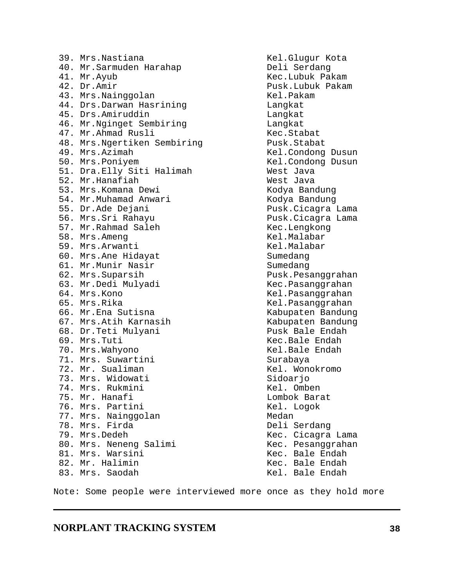**NORPLANT TRACKING SYSTEM 38** 70. Mrs.Wahyono **Kel.Bale Endah** 71. Mrs. Suwartini Surabaya 72. Mr. Sualiman Martin Martin Kel. Wonokromo 73. Mrs. Widowati Sidoarjo 74. Mrs. Rukmini Kel. Omben 75. Mr. Hanafi Lombok Barat 76. Mrs. Partini Kel. Logok 77. Mrs. Nainggolan Medan 78. Mrs. Firda Deli Serdang 79. Mrs.Dedeh Kec. Cicagra Lama 80. Mrs. Neneng Salimi Kec. Pesanggrahan<br>81. Mrs. Warsini Kec. Bale Endah 81. Mrs. Warsini 82. Mr. Halimin Kec. Bale Endah Note: Some people were interviewed more once as they hold more

 39. Mrs.Nastiana Kel.Glugur Kota 40. Mr. Sarmuden Harahap Deli Serdang 41. Mr.Ayub Kec.Lubuk Pakam 42. Dr.Amir Pusk.Lubuk Pakam 43. Mrs.Nainggolan Kel.Pakam 44. Drs.Darwan Hasrining Langkat 45. Drs.Amiruddin Langkat 46. Mr.Nginget Sembiring Langkat 47. Mr.Ahmad Rusli Kec.Stabat 48. Mrs.Ngertiken Sembiring Pusk.Stabat 49. Mrs.Azimah Kel.Condong Dusun 50. Mrs.Poniyem Kel.Condong Dusun 51. Dra.Elly Siti Halimah Mest Java 52. Mr.Hanafiah West Java 53. Mrs.Komana Dewi Kodya Bandung 54. Mr.Muhamad Anwari Kodya Bandung 55. Dr.Ade Dejani Pusk.Cicagra Lama 56. Mrs.Sri Rahayu Pusk.Cicagra Lama 57. Mr.Rahmad Saleh Kec.Lengkong 58. Mrs.Ameng Kel.Malabar 59. Mrs.Arwanti Kel.Malabar 60. Mrs.Ane Hidayat Sumedang 61. Mr.Munir Nasir Sumedang 62. Mrs.Suparsih Pusk.Pesanggrahan 63. Mr.Dedi Mulyadi Kec.Pasanggrahan 65. Mrs.Rika Kel.Pasanggrahan 66. Mr.Ena Sutisna Kabupaten Bandung 67. Mrs.Atih Karnasih Kabupaten Bandung 68. Dr.Teti Mulyani Pusk Bale Endah 69. Mrs.Tuti Kec.Bale Endah

Kel.Pasanggrahan Kel. Bale Endah